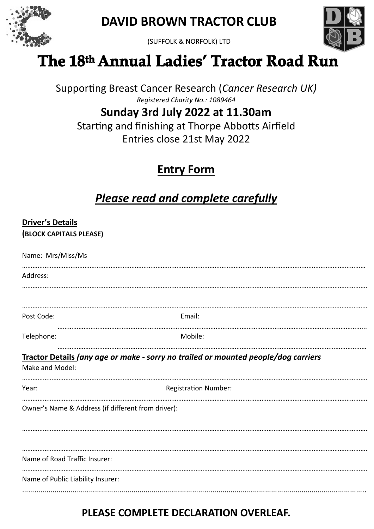

**DAVID BROWN TRACTOR CLUB**





## The 18th Annual Ladies' Tractor Road Run

Supporting Breast Cancer Research (*Cancer Research UK) Registered Charity No.: 1089464*

## **Sunday 3rd July 2022 at 11.30am**

Starting and finishing at Thorpe Abbotts Airfield Entries close 21st May 2022

### **Entry Form**

## *Please read and complete carefully*

#### **Driver's Details**

**(BLOCK CAPITALS PLEASE)**

| Name: Mrs/Miss/Ms                                  |                                                                                    |
|----------------------------------------------------|------------------------------------------------------------------------------------|
| Address:                                           |                                                                                    |
|                                                    |                                                                                    |
| Post Code:                                         | Email:                                                                             |
| Telephone:                                         | Mobile:                                                                            |
| Make and Model:                                    | Tractor Details (any age or make - sorry no trailed or mounted people/dog carriers |
| Year:                                              | <b>Registration Number:</b>                                                        |
| Owner's Name & Address (if different from driver): |                                                                                    |
| Name of Road Traffic Insurer:                      |                                                                                    |
| Name of Public Liability Insurer:                  |                                                                                    |

### **PLEASE COMPLETE DECLARATION OVERLEAF.**